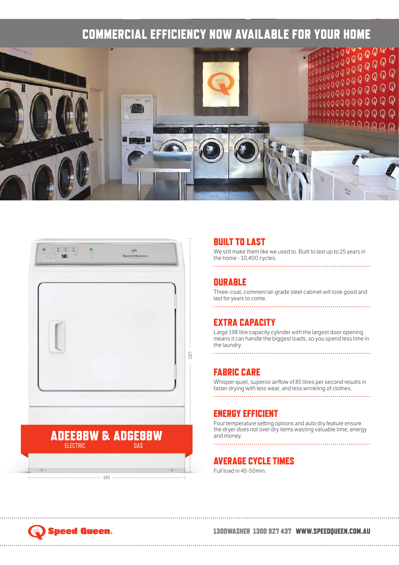



# BUILT TO LAST

We still make them like we used to. Built to last up to 25 years in the home - 10,400 cycles.

## 

# **DURABLE**

Three-coat, commercial-grade steel cabinet will look good and last for years to come.

# EXTRA CAPACITY

Large 198 litre capacity cylinder with the largest door opening means it can handle the biggest loads, so you spend less time in the laundry.

# FABRIC CARE

. . . . . . . . . . . . . . . .

Whisper quiet, superior airflow of 85 litres per second results in faster drying with less wear, and less wrinkling of clothes.

# 

# ENERGY EFFICIENT

Four temperature setting options and auto dry feature ensure the dryer does not over dry items wasting valuable time, energy and money. 

# AVERAGE CYCLE TIMES

Full load in 45-50min.

# **Speed Queen.**

# 1300WASHER 1300 927 437 WWW.SPEEDQUEEN.COM.AU